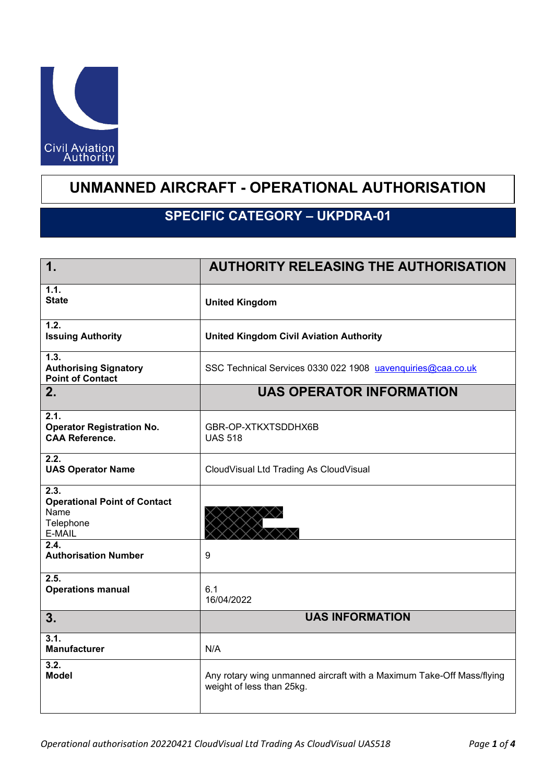

## **UNMANNED AIRCRAFT - OPERATIONAL AUTHORISATION**

## **SPECIFIC CATEGORY - UKPDRA-01**

| $\mathbf 1$ .                                                              | <b>AUTHORITY RELEASING THE AUTHORISATION</b>                                                       |
|----------------------------------------------------------------------------|----------------------------------------------------------------------------------------------------|
| 1.1.<br><b>State</b>                                                       | <b>United Kingdom</b>                                                                              |
| 1.2.<br><b>Issuing Authority</b>                                           | <b>United Kingdom Civil Aviation Authority</b>                                                     |
| 1.3.<br><b>Authorising Signatory</b><br><b>Point of Contact</b>            | SSC Technical Services 0330 022 1908 uavenquiries@caa.co.uk                                        |
| 2.                                                                         | <b>UAS OPERATOR INFORMATION</b>                                                                    |
| 2.1.<br><b>Operator Registration No.</b><br><b>CAA Reference.</b>          | GBR-OP-XTKXTSDDHX6B<br><b>UAS 518</b>                                                              |
| 2.2.<br><b>UAS Operator Name</b>                                           | CloudVisual Ltd Trading As CloudVisual                                                             |
| 2.3.<br><b>Operational Point of Contact</b><br>Name<br>Telephone<br>E-MAIL |                                                                                                    |
| 2.4.<br><b>Authorisation Number</b>                                        | 9                                                                                                  |
| $\overline{2.5}$<br><b>Operations manual</b>                               | 6.1<br>16/04/2022                                                                                  |
| 3.                                                                         | <b>UAS INFORMATION</b>                                                                             |
| 3.1.<br><b>Manufacturer</b>                                                | N/A                                                                                                |
| $\overline{3.2}$<br><b>Model</b>                                           | Any rotary wing unmanned aircraft with a Maximum Take-Off Mass/flying<br>weight of less than 25kg. |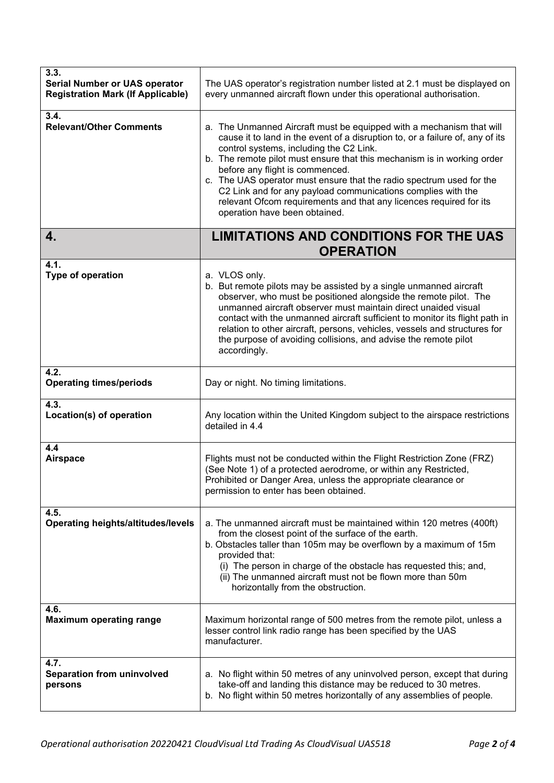| 3.3.<br><b>Serial Number or UAS operator</b><br><b>Registration Mark (If Applicable)</b> | The UAS operator's registration number listed at 2.1 must be displayed on<br>every unmanned aircraft flown under this operational authorisation.                                                                                                                                                                                                                                                                                                                                                                                                              |
|------------------------------------------------------------------------------------------|---------------------------------------------------------------------------------------------------------------------------------------------------------------------------------------------------------------------------------------------------------------------------------------------------------------------------------------------------------------------------------------------------------------------------------------------------------------------------------------------------------------------------------------------------------------|
| 3.4.<br><b>Relevant/Other Comments</b>                                                   | a. The Unmanned Aircraft must be equipped with a mechanism that will<br>cause it to land in the event of a disruption to, or a failure of, any of its<br>control systems, including the C2 Link.<br>b. The remote pilot must ensure that this mechanism is in working order<br>before any flight is commenced.<br>c. The UAS operator must ensure that the radio spectrum used for the<br>C2 Link and for any payload communications complies with the<br>relevant Ofcom requirements and that any licences required for its<br>operation have been obtained. |
| 4.                                                                                       | <b>LIMITATIONS AND CONDITIONS FOR THE UAS</b><br><b>OPERATION</b>                                                                                                                                                                                                                                                                                                                                                                                                                                                                                             |
| 4.1.<br>Type of operation                                                                | a. VLOS only.<br>b. But remote pilots may be assisted by a single unmanned aircraft<br>observer, who must be positioned alongside the remote pilot. The<br>unmanned aircraft observer must maintain direct unaided visual<br>contact with the unmanned aircraft sufficient to monitor its flight path in<br>relation to other aircraft, persons, vehicles, vessels and structures for<br>the purpose of avoiding collisions, and advise the remote pilot<br>accordingly.                                                                                      |
| 4.2.<br><b>Operating times/periods</b>                                                   | Day or night. No timing limitations.                                                                                                                                                                                                                                                                                                                                                                                                                                                                                                                          |
| 4.3.<br>Location(s) of operation                                                         | Any location within the United Kingdom subject to the airspace restrictions<br>detailed in 4.4                                                                                                                                                                                                                                                                                                                                                                                                                                                                |
| 4.4<br><b>Airspace</b>                                                                   | Flights must not be conducted within the Flight Restriction Zone (FRZ)<br>(See Note 1) of a protected aerodrome, or within any Restricted,<br>Prohibited or Danger Area, unless the appropriate clearance or<br>permission to enter has been obtained.                                                                                                                                                                                                                                                                                                        |
| 4.5.<br><b>Operating heights/altitudes/levels</b>                                        | a. The unmanned aircraft must be maintained within 120 metres (400ft)<br>from the closest point of the surface of the earth.<br>b. Obstacles taller than 105m may be overflown by a maximum of 15m<br>provided that:<br>(i) The person in charge of the obstacle has requested this; and,<br>(ii) The unmanned aircraft must not be flown more than 50m<br>horizontally from the obstruction.                                                                                                                                                                 |
| 4.6.<br><b>Maximum operating range</b>                                                   | Maximum horizontal range of 500 metres from the remote pilot, unless a<br>lesser control link radio range has been specified by the UAS<br>manufacturer.                                                                                                                                                                                                                                                                                                                                                                                                      |
| 4.7.<br><b>Separation from uninvolved</b><br>persons                                     | a. No flight within 50 metres of any uninvolved person, except that during<br>take-off and landing this distance may be reduced to 30 metres.<br>b. No flight within 50 metres horizontally of any assemblies of people.                                                                                                                                                                                                                                                                                                                                      |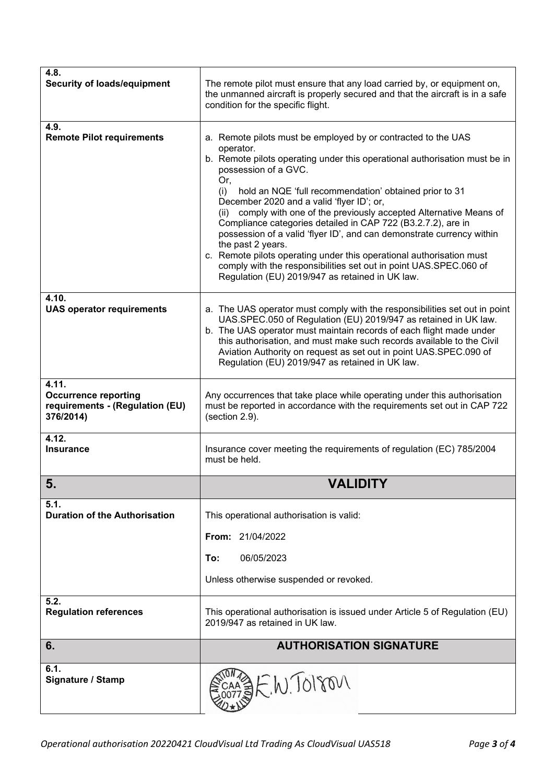| 4.8.<br><b>Security of loads/equipment</b>                                           | The remote pilot must ensure that any load carried by, or equipment on,<br>the unmanned aircraft is properly secured and that the aircraft is in a safe<br>condition for the specific flight.                                                                                                                                                                                                                                                                                                                                                                                                                                                                                                                                                  |
|--------------------------------------------------------------------------------------|------------------------------------------------------------------------------------------------------------------------------------------------------------------------------------------------------------------------------------------------------------------------------------------------------------------------------------------------------------------------------------------------------------------------------------------------------------------------------------------------------------------------------------------------------------------------------------------------------------------------------------------------------------------------------------------------------------------------------------------------|
| 4.9.<br><b>Remote Pilot requirements</b>                                             | a. Remote pilots must be employed by or contracted to the UAS<br>operator.<br>b. Remote pilots operating under this operational authorisation must be in<br>possession of a GVC.<br>Or,<br>hold an NQE 'full recommendation' obtained prior to 31<br>(i)<br>December 2020 and a valid 'flyer ID'; or,<br>comply with one of the previously accepted Alternative Means of<br>(ii)<br>Compliance categories detailed in CAP 722 (B3.2.7.2), are in<br>possession of a valid 'flyer ID', and can demonstrate currency within<br>the past 2 years.<br>c. Remote pilots operating under this operational authorisation must<br>comply with the responsibilities set out in point UAS.SPEC.060 of<br>Regulation (EU) 2019/947 as retained in UK law. |
| 4.10.<br><b>UAS operator requirements</b>                                            | a. The UAS operator must comply with the responsibilities set out in point<br>UAS.SPEC.050 of Regulation (EU) 2019/947 as retained in UK law.<br>b. The UAS operator must maintain records of each flight made under<br>this authorisation, and must make such records available to the Civil<br>Aviation Authority on request as set out in point UAS.SPEC.090 of<br>Regulation (EU) 2019/947 as retained in UK law.                                                                                                                                                                                                                                                                                                                          |
| 4.11.<br><b>Occurrence reporting</b><br>requirements - (Regulation (EU)<br>376/2014) | Any occurrences that take place while operating under this authorisation<br>must be reported in accordance with the requirements set out in CAP 722<br>(section 2.9).                                                                                                                                                                                                                                                                                                                                                                                                                                                                                                                                                                          |
| 4.12.<br><b>Insurance</b>                                                            | Insurance cover meeting the requirements of regulation (EC) 785/2004<br>must be held.                                                                                                                                                                                                                                                                                                                                                                                                                                                                                                                                                                                                                                                          |
| 5.                                                                                   | <b>VALIDITY</b>                                                                                                                                                                                                                                                                                                                                                                                                                                                                                                                                                                                                                                                                                                                                |
| 5.1.<br><b>Duration of the Authorisation</b>                                         | This operational authorisation is valid:                                                                                                                                                                                                                                                                                                                                                                                                                                                                                                                                                                                                                                                                                                       |
|                                                                                      | <b>From: 21/04/2022</b>                                                                                                                                                                                                                                                                                                                                                                                                                                                                                                                                                                                                                                                                                                                        |
|                                                                                      | To:<br>06/05/2023                                                                                                                                                                                                                                                                                                                                                                                                                                                                                                                                                                                                                                                                                                                              |
|                                                                                      | Unless otherwise suspended or revoked.                                                                                                                                                                                                                                                                                                                                                                                                                                                                                                                                                                                                                                                                                                         |
| 5.2.<br><b>Regulation references</b>                                                 | This operational authorisation is issued under Article 5 of Regulation (EU)<br>2019/947 as retained in UK law.                                                                                                                                                                                                                                                                                                                                                                                                                                                                                                                                                                                                                                 |
| 6.                                                                                   | <b>AUTHORISATION SIGNATURE</b>                                                                                                                                                                                                                                                                                                                                                                                                                                                                                                                                                                                                                                                                                                                 |
| 6.1.<br>Signature / Stamp                                                            | SEW. TO1801                                                                                                                                                                                                                                                                                                                                                                                                                                                                                                                                                                                                                                                                                                                                    |